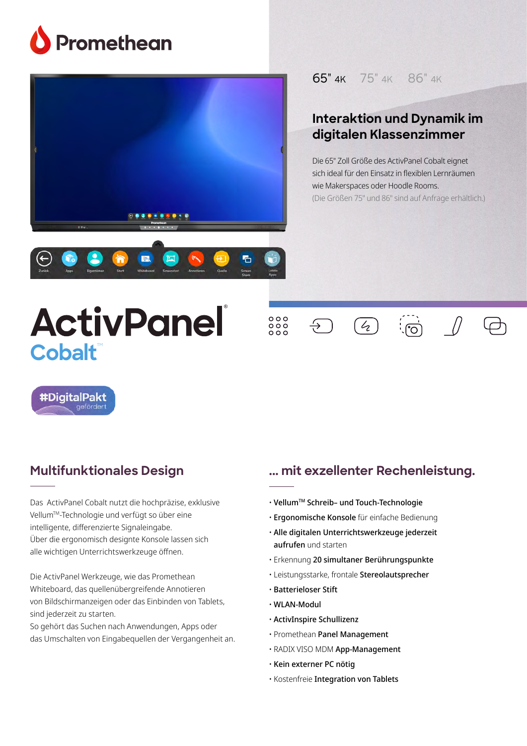





### 65" 4K 75" 4K 86" 4K

## **Interaktion und Dynamik im** <br>——————————————————— **teacher-friendly digitalen Klassenzimmer**

**classroom solution** Die 65" Zoll Größe des ActivPanel Cobalt eignet sich ideal für den Einsatz in flexiblen Lernräumen wie Makerspaces oder Hoodle Rooms. seamless, integrative that integrative the seamless of the contract of the contract of the contract of the contract of the contract of the contract of the contract of the contract of the contract of the contract of the con (Die Größen 75" und 86" sind auf Anfrage erhältlich.)<br>.

# **ActivPanel Cobalt**

 $000$ <br>000<br>000

 $\overline{\div}$ 

႞ၟၟ



#DigitalPakt

#### The ActivPanel Titanium delivers a revolutionary new user **Multifunktionales Design**

**A unified menu for seamless**

Das ActivPanel Cobalt nutzt die hochpräzise, exklusive bus near and cobalchatze are nothprazisty chalastic Vellum™-Technologie und verfügt so über eine intelligente, differenzierte Signaleingabe. Uber die ergonomisch designte Konsole lassen sich alle wichtigen Unterrichtswerkzeuge öffnen.

right at teachers' fingertips and within natural line of sight.

Die ActivPanel Werkzeuge, wie das Promethean **without limitations** Whiteboard, das quellenübergreifende Annotieren von Bildschirmanzeigen oder das Einbinden von Tablets, sind jederzeit zu starten.

Promethean's Vellum™ writing technology delivers an So gehört das Suchen nach Anwendungen, Apps oder das Umschalten von Eingabequellen der Vergangenheit an.

### ... mit exzellenter Rechenleistung.

 $\overline{4}$ 

- $\cdot$  Vellum™ Schreib– und Touch-Technologie
- · Ergonomische Konsole für einfache Bedienung
- **The digital of Site IT support in Equal Site and Site IT support in the and starten** • Alle digitalen Unterrichtswerkzeuge jederzeit
- **and security** Erkennung 20 simultaner Berührungspunkte
- $\cdot$  Leistungsstarke, frontale **Stereolautsprecher**
- $\cdot$  Batterieloser Stift
- WLAN-Modul
- $\alpha$  speed, security, and reliability, while Promethean Panel Panel Panel Panel Panel Panel Panel Panel Panel Panel Panel Panel Panel Panel Panel Panel Panel Panel Panel Panel Panel Panel Panel Panel Panel Panel Panel Pan  $\cdot$  ActivInspire Schullizenz
- $\cdot$  Promethean **Panel Management**
- $ADANVVIOOMAnM$  $\cdot$  RADIX VISO MDM **App-Management**
- $\cdot$  Kein externer PC nötig  $\hspace{0.1em}$
- Kostenfreie Integration von Tablets